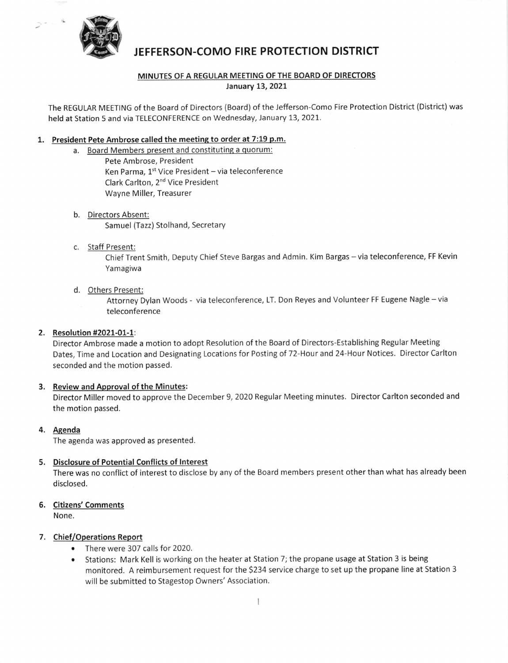

# JEFFERSON.COMO FIRE PROTECTION DISTRICT

#### MINUTES OF A REGULAR MEETING OF THE BOARD OF DIRECTORS January 13, 2021

The REGULAR MEETING of the Board of Directors (Board) of the Jefferson-Como Fire Protection District (District) was held at Station 5 and via TELECONFERENCE on Wednesday, January 13, 2021.

#### 1. President Pete Ambrose called the meeting to order at 7:19 p.m.

- a. Board Members present and constituting a quorum: Pete Ambrose, President Ken Parma,  $1^{st}$  Vice President - via teleconference Clark Carlton, 2nd Vice President Wayne Miller, Treasurer
- b. Directors Absent: Samuel (Tazz) Stolhand, Secretary
- c. Staff Present:

Chief Trent Smith, Deputy Chief Steve Bargas and Admin. Kim Bargas - via teleconference, FF Kevin Yamagiwa

d. Others Present:

Attorney Dylan Woods - via teleconference, LT. Don Reyes and Volunteer FF Eugene Nagle - via teleconference

### 2. Resolution #2021-01-1:

Director Ambrose made a motion to adopt Resolution of the Board of Directors-Establishing Regular Meeting Dates, Time and Location and Designating Locations for Posting of 72-Hour and 24-Hour Notices. Director Carlton seconded and the motion passed.

## 3. Review and Approval of the Minutes:

Director Miller moved to approve the December 9, 2020 Regular Meeting minutes. Director Carlton seconded and the motion passed.

4. Agenda

The agenda was approved as presented.

#### 5. Disclosure of Potential Conflicts of lnterest

There was no conflict of interest to disclose by any of the Board members present other than what has already been disclosed.

- 6. Citizens'Comments None.
- 7. Chief/Operations Report
	- o There were 307 calls for 2020.
	- Stations: Mark Kell is working on the heater at Station 7; the propane usage at Station 3 is being monitored. A reimbursement request for the 5234 service charge to set up the propane line at Station <sup>3</sup> will be submitted to Stagestop Owners' Association.